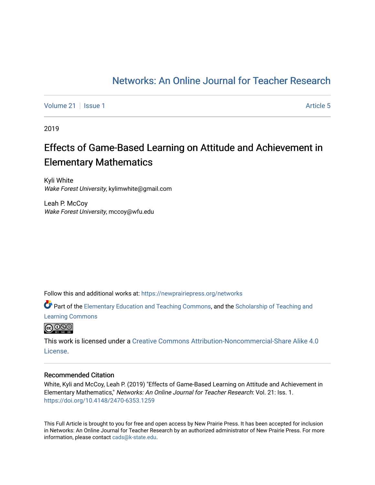### [Networks: An Online Journal for Teacher Research](https://newprairiepress.org/networks)

[Volume 21](https://newprairiepress.org/networks/vol21) | [Issue 1](https://newprairiepress.org/networks/vol21/iss1) Article 5

2019

## Effects of Game-Based Learning on Attitude and Achievement in Elementary Mathematics

Kyli White Wake Forest University, kylimwhite@gmail.com

Leah P. McCoy Wake Forest University, mccoy@wfu.edu

Follow this and additional works at: [https://newprairiepress.org/networks](https://newprairiepress.org/networks?utm_source=newprairiepress.org%2Fnetworks%2Fvol21%2Fiss1%2F5&utm_medium=PDF&utm_campaign=PDFCoverPages)

Part of the [Elementary Education and Teaching Commons,](http://network.bepress.com/hgg/discipline/805?utm_source=newprairiepress.org%2Fnetworks%2Fvol21%2Fiss1%2F5&utm_medium=PDF&utm_campaign=PDFCoverPages) and the [Scholarship of Teaching and](http://network.bepress.com/hgg/discipline/1328?utm_source=newprairiepress.org%2Fnetworks%2Fvol21%2Fiss1%2F5&utm_medium=PDF&utm_campaign=PDFCoverPages)  [Learning Commons](http://network.bepress.com/hgg/discipline/1328?utm_source=newprairiepress.org%2Fnetworks%2Fvol21%2Fiss1%2F5&utm_medium=PDF&utm_campaign=PDFCoverPages)



This work is licensed under a [Creative Commons Attribution-Noncommercial-Share Alike 4.0](https://creativecommons.org/licenses/by-nc-sa/4.0/) [License.](https://creativecommons.org/licenses/by-nc-sa/4.0/)

#### Recommended Citation

White, Kyli and McCoy, Leah P. (2019) "Effects of Game-Based Learning on Attitude and Achievement in Elementary Mathematics," Networks: An Online Journal for Teacher Research: Vol. 21: Iss. 1. <https://doi.org/10.4148/2470-6353.1259>

This Full Article is brought to you for free and open access by New Prairie Press. It has been accepted for inclusion in Networks: An Online Journal for Teacher Research by an authorized administrator of New Prairie Press. For more information, please contact [cads@k-state.edu](mailto:cads@k-state.edu).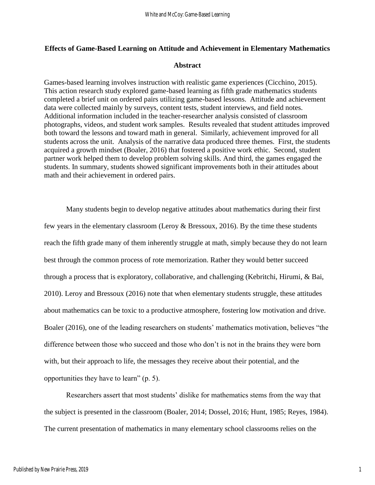#### **Effects of Game-Based Learning on Attitude and Achievement in Elementary Mathematics**

#### **Abstract**

Games-based learning involves instruction with realistic game experiences (Cicchino, 2015). This action research study explored game-based learning as fifth grade mathematics students completed a brief unit on ordered pairs utilizing game-based lessons. Attitude and achievement data were collected mainly by surveys, content tests, student interviews, and field notes. Additional information included in the teacher-researcher analysis consisted of classroom photographs, videos, and student work samples. Results revealed that student attitudes improved both toward the lessons and toward math in general. Similarly, achievement improved for all students across the unit. Analysis of the narrative data produced three themes. First, the students acquired a growth mindset (Boaler, 2016) that fostered a positive work ethic. Second, student partner work helped them to develop problem solving skills. And third, the games engaged the students. In summary, students showed significant improvements both in their attitudes about math and their achievement in ordered pairs.

Many students begin to develop negative attitudes about mathematics during their first few years in the elementary classroom (Leroy & Bressoux, 2016). By the time these students reach the fifth grade many of them inherently struggle at math, simply because they do not learn best through the common process of rote memorization. Rather they would better succeed through a process that is exploratory, collaborative, and challenging (Kebritchi, Hirumi, & Bai, 2010). Leroy and Bressoux (2016) note that when elementary students struggle, these attitudes about mathematics can be toxic to a productive atmosphere, fostering low motivation and drive. Boaler (2016), one of the leading researchers on students' mathematics motivation, believes "the difference between those who succeed and those who don't is not in the brains they were born with, but their approach to life, the messages they receive about their potential, and the opportunities they have to learn" (p. 5).

Researchers assert that most students' dislike for mathematics stems from the way that the subject is presented in the classroom (Boaler, 2014; Dossel, 2016; Hunt, 1985; Reyes, 1984). The current presentation of mathematics in many elementary school classrooms relies on the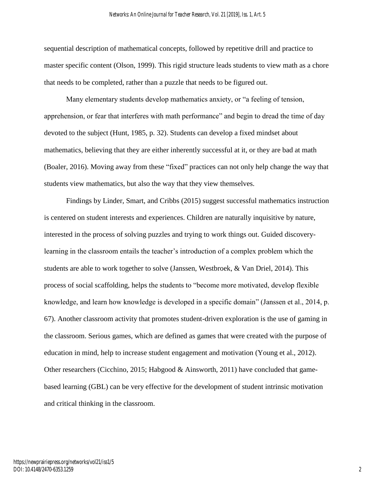sequential description of mathematical concepts, followed by repetitive drill and practice to master specific content (Olson, 1999). This rigid structure leads students to view math as a chore that needs to be completed, rather than a puzzle that needs to be figured out.

Many elementary students develop mathematics anxiety, or "a feeling of tension, apprehension, or fear that interferes with math performance" and begin to dread the time of day devoted to the subject (Hunt, 1985, p. 32). Students can develop a fixed mindset about mathematics, believing that they are either inherently successful at it, or they are bad at math (Boaler, 2016). Moving away from these "fixed" practices can not only help change the way that students view mathematics, but also the way that they view themselves.

Findings by Linder, Smart, and Cribbs (2015) suggest successful mathematics instruction is centered on student interests and experiences. Children are naturally inquisitive by nature, interested in the process of solving puzzles and trying to work things out. Guided discoverylearning in the classroom entails the teacher's introduction of a complex problem which the students are able to work together to solve (Janssen, Westbroek, & Van Driel, 2014). This process of social scaffolding, helps the students to "become more motivated, develop flexible knowledge, and learn how knowledge is developed in a specific domain" (Janssen et al., 2014, p. 67). Another classroom activity that promotes student-driven exploration is the use of gaming in the classroom. Serious games, which are defined as games that were created with the purpose of education in mind, help to increase student engagement and motivation (Young et al., 2012). Other researchers (Cicchino, 2015; Habgood & Ainsworth, 2011) have concluded that gamebased learning (GBL) can be very effective for the development of student intrinsic motivation and critical thinking in the classroom.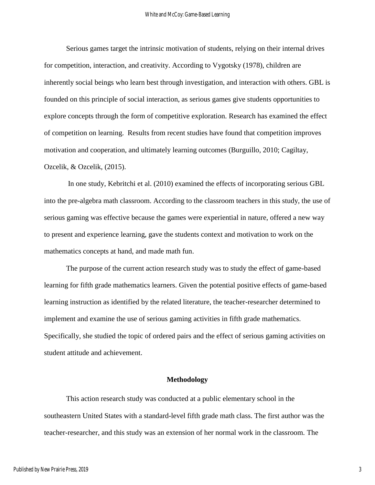Serious games target the intrinsic motivation of students, relying on their internal drives for competition, interaction, and creativity. According to Vygotsky (1978), children are inherently social beings who learn best through investigation, and interaction with others. GBL is founded on this principle of social interaction, as serious games give students opportunities to explore concepts through the form of competitive exploration. Research has examined the effect of competition on learning. Results from recent studies have found that competition improves motivation and cooperation, and ultimately learning outcomes (Burguillo, 2010; Cagiltay, Ozcelik, & Ozcelik, (2015).

In one study, Kebritchi et al. (2010) examined the effects of incorporating serious GBL into the pre-algebra math classroom. According to the classroom teachers in this study, the use of serious gaming was effective because the games were experiential in nature, offered a new way to present and experience learning, gave the students context and motivation to work on the mathematics concepts at hand, and made math fun.

The purpose of the current action research study was to study the effect of game-based learning for fifth grade mathematics learners. Given the potential positive effects of game-based learning instruction as identified by the related literature, the teacher-researcher determined to implement and examine the use of serious gaming activities in fifth grade mathematics. Specifically, she studied the topic of ordered pairs and the effect of serious gaming activities on student attitude and achievement.

#### **Methodology**

This action research study was conducted at a public elementary school in the southeastern United States with a standard-level fifth grade math class. The first author was the teacher-researcher, and this study was an extension of her normal work in the classroom. The

3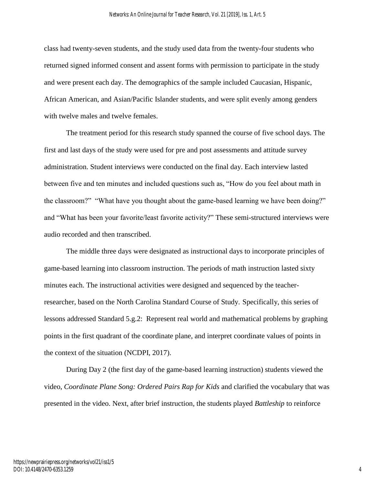class had twenty-seven students, and the study used data from the twenty-four students who returned signed informed consent and assent forms with permission to participate in the study and were present each day. The demographics of the sample included Caucasian, Hispanic, African American, and Asian/Pacific Islander students, and were split evenly among genders with twelve males and twelve females.

The treatment period for this research study spanned the course of five school days. The first and last days of the study were used for pre and post assessments and attitude survey administration. Student interviews were conducted on the final day. Each interview lasted between five and ten minutes and included questions such as, "How do you feel about math in the classroom?" "What have you thought about the game-based learning we have been doing?" and "What has been your favorite/least favorite activity?" These semi-structured interviews were audio recorded and then transcribed.

The middle three days were designated as instructional days to incorporate principles of game-based learning into classroom instruction. The periods of math instruction lasted sixty minutes each. The instructional activities were designed and sequenced by the teacherresearcher, based on the North Carolina Standard Course of Study. Specifically, this series of lessons addressed Standard 5.g.2: Represent real world and mathematical problems by graphing points in the first quadrant of the coordinate plane, and interpret coordinate values of points in the context of the situation (NCDPI, 2017).

During Day 2 (the first day of the game-based learning instruction) students viewed the video, *Coordinate Plane Song: Ordered Pairs Rap for Kids* and clarified the vocabulary that was presented in the video. Next, after brief instruction, the students played *Battleship* to reinforce

4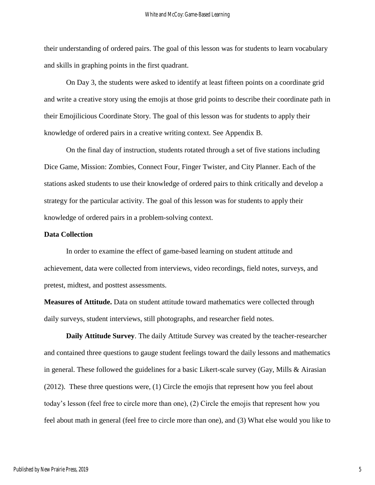their understanding of ordered pairs. The goal of this lesson was for students to learn vocabulary and skills in graphing points in the first quadrant.

On Day 3, the students were asked to identify at least fifteen points on a coordinate grid and write a creative story using the emojis at those grid points to describe their coordinate path in their Emojilicious Coordinate Story. The goal of this lesson was for students to apply their knowledge of ordered pairs in a creative writing context. See Appendix B.

On the final day of instruction, students rotated through a set of five stations including Dice Game, Mission: Zombies, Connect Four, Finger Twister, and City Planner. Each of the stations asked students to use their knowledge of ordered pairs to think critically and develop a strategy for the particular activity. The goal of this lesson was for students to apply their knowledge of ordered pairs in a problem-solving context.

#### **Data Collection**

In order to examine the effect of game-based learning on student attitude and achievement, data were collected from interviews, video recordings, field notes, surveys, and pretest, midtest, and posttest assessments.

**Measures of Attitude.** Data on student attitude toward mathematics were collected through daily surveys, student interviews, still photographs, and researcher field notes.

**Daily Attitude Survey**. The daily Attitude Survey was created by the teacher-researcher and contained three questions to gauge student feelings toward the daily lessons and mathematics in general. These followed the guidelines for a basic Likert-scale survey (Gay, Mills & Airasian (2012). These three questions were, (1) Circle the emojis that represent how you feel about today's lesson (feel free to circle more than one), (2) Circle the emojis that represent how you feel about math in general (feel free to circle more than one), and (3) What else would you like to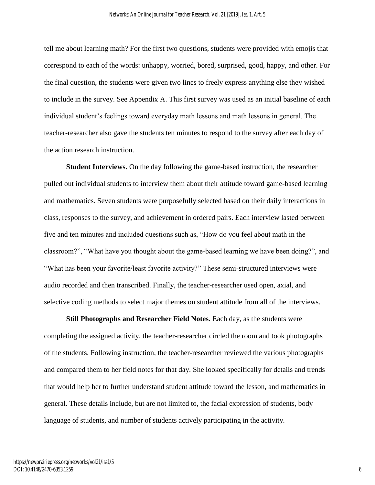tell me about learning math? For the first two questions, students were provided with emojis that correspond to each of the words: unhappy, worried, bored, surprised, good, happy, and other. For the final question, the students were given two lines to freely express anything else they wished to include in the survey. See Appendix A. This first survey was used as an initial baseline of each individual student's feelings toward everyday math lessons and math lessons in general. The teacher-researcher also gave the students ten minutes to respond to the survey after each day of the action research instruction.

**Student Interviews.** On the day following the game-based instruction, the researcher pulled out individual students to interview them about their attitude toward game-based learning and mathematics. Seven students were purposefully selected based on their daily interactions in class, responses to the survey, and achievement in ordered pairs. Each interview lasted between five and ten minutes and included questions such as, "How do you feel about math in the classroom?", "What have you thought about the game-based learning we have been doing?", and "What has been your favorite/least favorite activity?" These semi-structured interviews were audio recorded and then transcribed. Finally, the teacher-researcher used open, axial, and selective coding methods to select major themes on student attitude from all of the interviews.

**Still Photographs and Researcher Field Notes.** Each day, as the students were completing the assigned activity, the teacher-researcher circled the room and took photographs of the students. Following instruction, the teacher-researcher reviewed the various photographs and compared them to her field notes for that day. She looked specifically for details and trends that would help her to further understand student attitude toward the lesson, and mathematics in general. These details include, but are not limited to, the facial expression of students, body language of students, and number of students actively participating in the activity.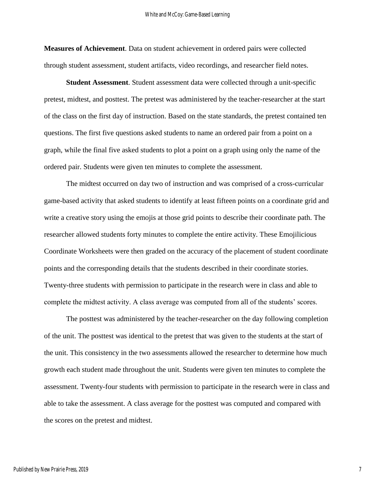**Measures of Achievement**. Data on student achievement in ordered pairs were collected through student assessment, student artifacts, video recordings, and researcher field notes.

**Student Assessment**. Student assessment data were collected through a unit-specific pretest, midtest, and posttest. The pretest was administered by the teacher-researcher at the start of the class on the first day of instruction. Based on the state standards, the pretest contained ten questions. The first five questions asked students to name an ordered pair from a point on a graph, while the final five asked students to plot a point on a graph using only the name of the ordered pair. Students were given ten minutes to complete the assessment.

The midtest occurred on day two of instruction and was comprised of a cross-curricular game-based activity that asked students to identify at least fifteen points on a coordinate grid and write a creative story using the emojis at those grid points to describe their coordinate path. The researcher allowed students forty minutes to complete the entire activity. These Emojilicious Coordinate Worksheets were then graded on the accuracy of the placement of student coordinate points and the corresponding details that the students described in their coordinate stories. Twenty-three students with permission to participate in the research were in class and able to complete the midtest activity. A class average was computed from all of the students' scores.

The posttest was administered by the teacher-researcher on the day following completion of the unit. The posttest was identical to the pretest that was given to the students at the start of the unit. This consistency in the two assessments allowed the researcher to determine how much growth each student made throughout the unit. Students were given ten minutes to complete the assessment. Twenty-four students with permission to participate in the research were in class and able to take the assessment. A class average for the posttest was computed and compared with the scores on the pretest and midtest.

7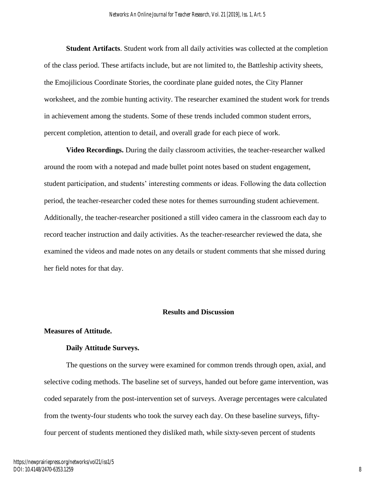**Student Artifacts**. Student work from all daily activities was collected at the completion of the class period. These artifacts include, but are not limited to, the Battleship activity sheets, the Emojilicious Coordinate Stories, the coordinate plane guided notes, the City Planner worksheet, and the zombie hunting activity. The researcher examined the student work for trends in achievement among the students. Some of these trends included common student errors, percent completion, attention to detail, and overall grade for each piece of work.

**Video Recordings.** During the daily classroom activities, the teacher-researcher walked around the room with a notepad and made bullet point notes based on student engagement, student participation, and students' interesting comments or ideas. Following the data collection period, the teacher-researcher coded these notes for themes surrounding student achievement. Additionally, the teacher-researcher positioned a still video camera in the classroom each day to record teacher instruction and daily activities. As the teacher-researcher reviewed the data, she examined the videos and made notes on any details or student comments that she missed during her field notes for that day.

#### **Results and Discussion**

#### **Measures of Attitude.**

#### **Daily Attitude Surveys.**

The questions on the survey were examined for common trends through open, axial, and selective coding methods. The baseline set of surveys, handed out before game intervention, was coded separately from the post-intervention set of surveys. Average percentages were calculated from the twenty-four students who took the survey each day. On these baseline surveys, fiftyfour percent of students mentioned they disliked math, while sixty-seven percent of students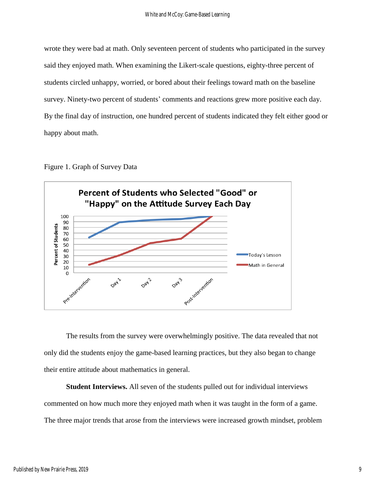wrote they were bad at math. Only seventeen percent of students who participated in the survey said they enjoyed math. When examining the Likert-scale questions, eighty-three percent of students circled unhappy, worried, or bored about their feelings toward math on the baseline survey. Ninety-two percent of students' comments and reactions grew more positive each day. By the final day of instruction, one hundred percent of students indicated they felt either good or happy about math.





The results from the survey were overwhelmingly positive. The data revealed that not only did the students enjoy the game-based learning practices, but they also began to change their entire attitude about mathematics in general.

**Student Interviews.** All seven of the students pulled out for individual interviews commented on how much more they enjoyed math when it was taught in the form of a game. The three major trends that arose from the interviews were increased growth mindset, problem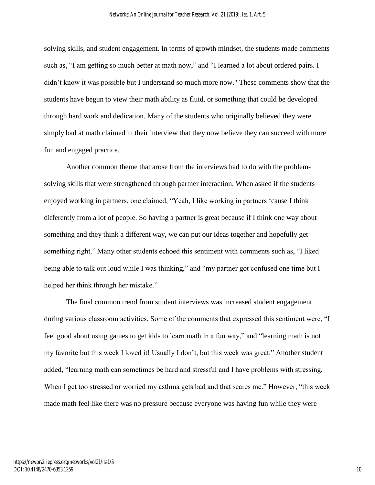solving skills, and student engagement. In terms of growth mindset, the students made comments such as, "I am getting so much better at math now," and "I learned a lot about ordered pairs. I didn't know it was possible but I understand so much more now." These comments show that the students have begun to view their math ability as fluid, or something that could be developed through hard work and dedication. Many of the students who originally believed they were simply bad at math claimed in their interview that they now believe they can succeed with more fun and engaged practice.

Another common theme that arose from the interviews had to do with the problemsolving skills that were strengthened through partner interaction. When asked if the students enjoyed working in partners, one claimed, "Yeah, I like working in partners 'cause I think differently from a lot of people. So having a partner is great because if I think one way about something and they think a different way, we can put our ideas together and hopefully get something right." Many other students echoed this sentiment with comments such as, "I liked being able to talk out loud while I was thinking," and "my partner got confused one time but I helped her think through her mistake."

The final common trend from student interviews was increased student engagement during various classroom activities. Some of the comments that expressed this sentiment were, "I feel good about using games to get kids to learn math in a fun way," and "learning math is not my favorite but this week I loved it! Usually I don't, but this week was great." Another student added, "learning math can sometimes be hard and stressful and I have problems with stressing. When I get too stressed or worried my asthma gets bad and that scares me." However, "this week made math feel like there was no pressure because everyone was having fun while they were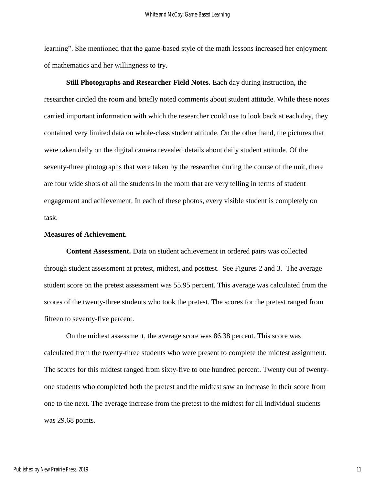learning". She mentioned that the game-based style of the math lessons increased her enjoyment of mathematics and her willingness to try.

**Still Photographs and Researcher Field Notes.** Each day during instruction, the researcher circled the room and briefly noted comments about student attitude. While these notes carried important information with which the researcher could use to look back at each day, they contained very limited data on whole-class student attitude. On the other hand, the pictures that were taken daily on the digital camera revealed details about daily student attitude. Of the seventy-three photographs that were taken by the researcher during the course of the unit, there are four wide shots of all the students in the room that are very telling in terms of student engagement and achievement. In each of these photos, every visible student is completely on task.

#### **Measures of Achievement.**

**Content Assessment.** Data on student achievement in ordered pairs was collected through student assessment at pretest, midtest, and posttest. See Figures 2 and 3. The average student score on the pretest assessment was 55.95 percent. This average was calculated from the scores of the twenty-three students who took the pretest. The scores for the pretest ranged from fifteen to seventy-five percent.

On the midtest assessment, the average score was 86.38 percent. This score was calculated from the twenty-three students who were present to complete the midtest assignment. The scores for this midtest ranged from sixty-five to one hundred percent. Twenty out of twentyone students who completed both the pretest and the midtest saw an increase in their score from one to the next. The average increase from the pretest to the midtest for all individual students was 29.68 points.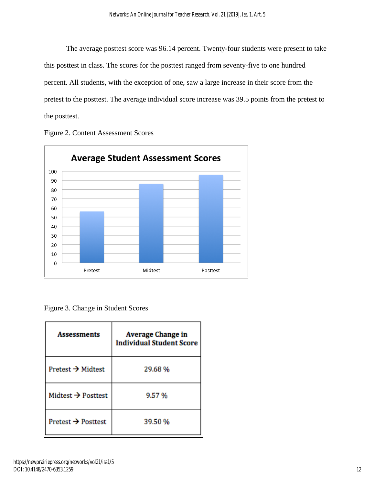The average posttest score was 96.14 percent. Twenty-four students were present to take this posttest in class. The scores for the posttest ranged from seventy-five to one hundred percent. All students, with the exception of one, saw a large increase in their score from the pretest to the posttest. The average individual score increase was 39.5 points from the pretest to the posttest.





Figure 3. Change in Student Scores

| <b>Assessments</b>             | <b>Average Change in</b><br><b>Individual Student Score</b> |  |  |
|--------------------------------|-------------------------------------------------------------|--|--|
| Pretest $\rightarrow$ Midtest  | 29.68%                                                      |  |  |
| Midtest $\rightarrow$ Posttest | 9.57%                                                       |  |  |
| Pretest $\rightarrow$ Posttest | 39.50 %                                                     |  |  |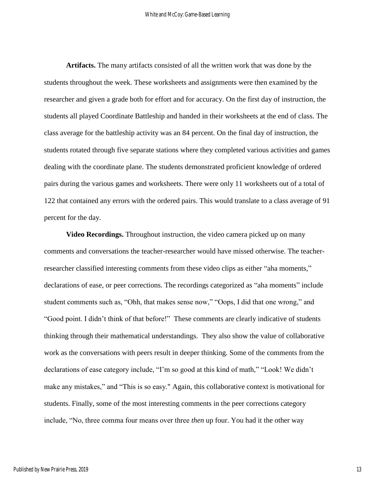**Artifacts.** The many artifacts consisted of all the written work that was done by the students throughout the week. These worksheets and assignments were then examined by the researcher and given a grade both for effort and for accuracy. On the first day of instruction, the students all played Coordinate Battleship and handed in their worksheets at the end of class. The class average for the battleship activity was an 84 percent. On the final day of instruction, the students rotated through five separate stations where they completed various activities and games dealing with the coordinate plane. The students demonstrated proficient knowledge of ordered pairs during the various games and worksheets. There were only 11 worksheets out of a total of 122 that contained any errors with the ordered pairs. This would translate to a class average of 91 percent for the day.

**Video Recordings.** Throughout instruction, the video camera picked up on many comments and conversations the teacher-researcher would have missed otherwise. The teacherresearcher classified interesting comments from these video clips as either "aha moments," declarations of ease, or peer corrections. The recordings categorized as "aha moments" include student comments such as, "Ohh, that makes sense now," "Oops, I did that one wrong," and "Good point. I didn't think of that before!" These comments are clearly indicative of students thinking through their mathematical understandings. They also show the value of collaborative work as the conversations with peers result in deeper thinking. Some of the comments from the declarations of ease category include, "I'm so good at this kind of math," "Look! We didn't make any mistakes," and "This is so easy." Again, this collaborative context is motivational for students. Finally, some of the most interesting comments in the peer corrections category include, "No, three comma four means over three *then* up four. You had it the other way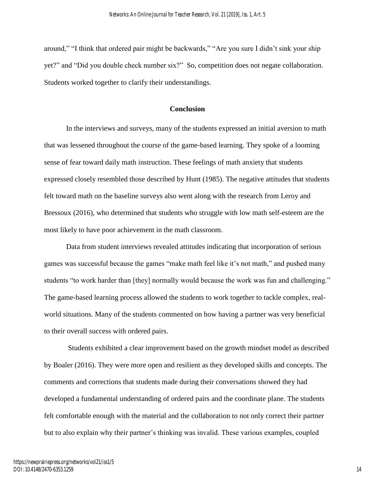around," "I think that ordered pair might be backwards," "Are you sure I didn't sink your ship yet?" and "Did you double check number six?" So, competition does not negate collaboration. Students worked together to clarify their understandings.

#### **Conclusion**

In the interviews and surveys, many of the students expressed an initial aversion to math that was lessened throughout the course of the game-based learning. They spoke of a looming sense of fear toward daily math instruction. These feelings of math anxiety that students expressed closely resembled those described by Hunt (1985). The negative attitudes that students felt toward math on the baseline surveys also went along with the research from Leroy and Bressoux (2016), who determined that students who struggle with low math self-esteem are the most likely to have poor achievement in the math classroom.

 Data from student interviews revealed attitudes indicating that incorporation of serious games was successful because the games "make math feel like it's not math," and pushed many students "to work harder than [they] normally would because the work was fun and challenging." The game-based learning process allowed the students to work together to tackle complex, realworld situations. Many of the students commented on how having a partner was very beneficial to their overall success with ordered pairs.

 Students exhibited a clear improvement based on the growth mindset model as described by Boaler (2016). They were more open and resilient as they developed skills and concepts. The comments and corrections that students made during their conversations showed they had developed a fundamental understanding of ordered pairs and the coordinate plane. The students felt comfortable enough with the material and the collaboration to not only correct their partner but to also explain why their partner's thinking was invalid. These various examples, coupled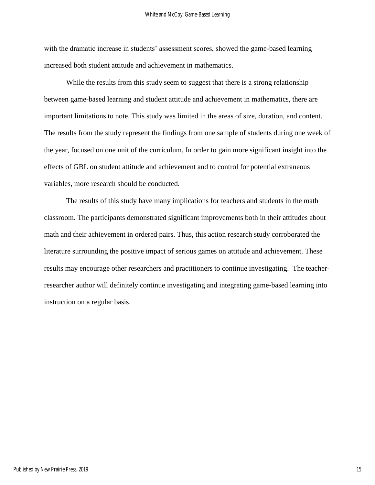with the dramatic increase in students' assessment scores, showed the game-based learning increased both student attitude and achievement in mathematics.

While the results from this study seem to suggest that there is a strong relationship between game-based learning and student attitude and achievement in mathematics, there are important limitations to note. This study was limited in the areas of size, duration, and content. The results from the study represent the findings from one sample of students during one week of the year, focused on one unit of the curriculum. In order to gain more significant insight into the effects of GBL on student attitude and achievement and to control for potential extraneous variables, more research should be conducted.

The results of this study have many implications for teachers and students in the math classroom. The participants demonstrated significant improvements both in their attitudes about math and their achievement in ordered pairs. Thus, this action research study corroborated the literature surrounding the positive impact of serious games on attitude and achievement. These results may encourage other researchers and practitioners to continue investigating. The teacherresearcher author will definitely continue investigating and integrating game-based learning into instruction on a regular basis.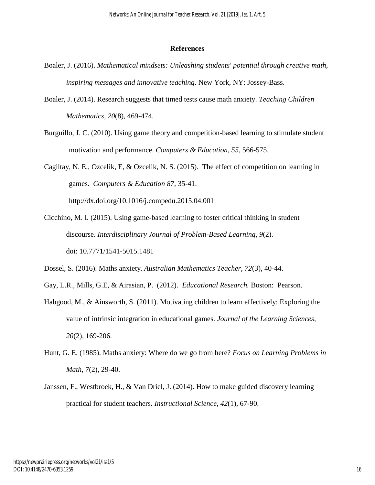#### **References**

- Boaler, J. (2016). *Mathematical mindsets: Unleashing students' potential through creative math, inspiring messages and innovative teaching*. New York, NY: Jossey-Bass.
- Boaler, J. (2014). Research suggests that timed tests cause math anxiety. *Teaching Children Mathematics, 20*(8), 469-474.
- Burguillo, J. C. (2010). Using game theory and competition-based learning to stimulate student motivation and performance. *Computers & Education, 55*, 566-575.
- Cagiltay, N. E., Ozcelik, E, & Ozcelik, N. S. (2015). The effect of competition on learning in games. *Computers & Education 87,* 35-41. http://dx.doi.org/10.1016/j.compedu.2015.04.001
- Cicchino, M. I. (2015). Using game-based learning to foster critical thinking in student discourse. *Interdisciplinary Journal of Problem-Based Learning, 9*(2). doi: 10.7771/1541-5015.1481
- Dossel, S. (2016). Maths anxiety. *Australian Mathematics Teacher, 72*(3), 40-44.
- Gay, L.R., Mills, G.E, & Airasian, P. (2012). *Educational Research.* Boston: Pearson.
- Habgood, M., & Ainsworth, S. (2011). Motivating children to learn effectively: Exploring the value of intrinsic integration in educational games. *Journal of the Learning Sciences, 20*(2), 169-206.
- Hunt, G. E. (1985). Maths anxiety: Where do we go from here? *Focus on Learning Problems in Math, 7*(2), 29-40.
- Janssen, F., Westbroek, H., & Van Driel, J. (2014). How to make guided discovery learning practical for student teachers. *Instructional Science, 42*(1), 67-90.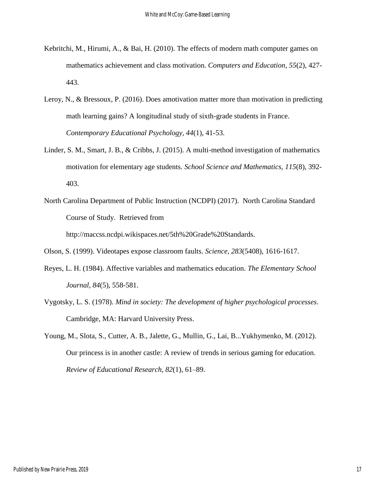- Kebritchi, M., Hirumi, A., & Bai, H. (2010). The effects of modern math computer games on mathematics achievement and class motivation. *Computers and Education, 55*(2), 427- 443.
- Leroy, N., & Bressoux, P. (2016). Does amotivation matter more than motivation in predicting math learning gains? A longitudinal study of sixth-grade students in France. *Contemporary Educational Psychology, 44*(1), 41-53.
- Linder, S. M., Smart, J. B., & Cribbs, J. (2015). A multi-method investigation of mathematics motivation for elementary age students. *School Science and Mathematics, 115*(8), 392- 403.
- North Carolina Department of Public Instruction (NCDPI) (2017). North Carolina Standard Course of Study. Retrieved from http://maccss.ncdpi.wikispaces.net/5th%20Grade%20Standards.

Olson, S. (1999). Videotapes expose classroom faults. *Science, 283*(5408), 1616-1617.

- Reyes, L. H. (1984). Affective variables and mathematics education. *The Elementary School Journal, 84*(5), 558-581.
- Vygotsky, L. S. (1978). *Mind in society: The development of higher psychological processes*. Cambridge, MA: Harvard University Press.
- Young, M., Slota, S., Cutter, A. B., Jalette, G., Mullin, G., Lai, B...Yukhymenko, M. (2012). Our princess is in another castle: A review of trends in serious gaming for education. *Review of Educational Research, 82*(1), 61–89.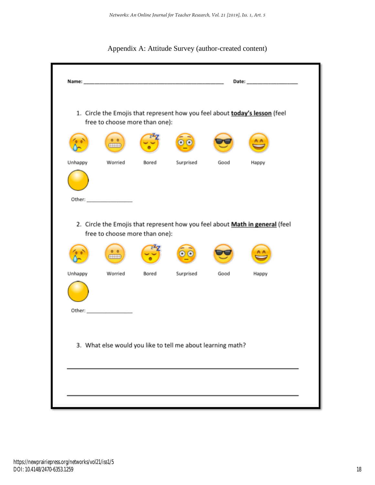

|         | free to choose more than one):                              |       |           |      | 1. Circle the Emojis that represent how you feel about today's lesson (feel  |  |
|---------|-------------------------------------------------------------|-------|-----------|------|------------------------------------------------------------------------------|--|
|         |                                                             |       |           |      |                                                                              |  |
| Unhappy | Worried                                                     | Bored | Surprised | Good | Happy                                                                        |  |
|         | free to choose more than one):<br>∓                         |       |           |      | 2. Circle the Emojis that represent how you feel about Math in general (feel |  |
| Unhappy | Worried                                                     | Bored | Surprised | Good | Happy                                                                        |  |
|         |                                                             |       |           |      |                                                                              |  |
|         | 3. What else would you like to tell me about learning math? |       |           |      |                                                                              |  |